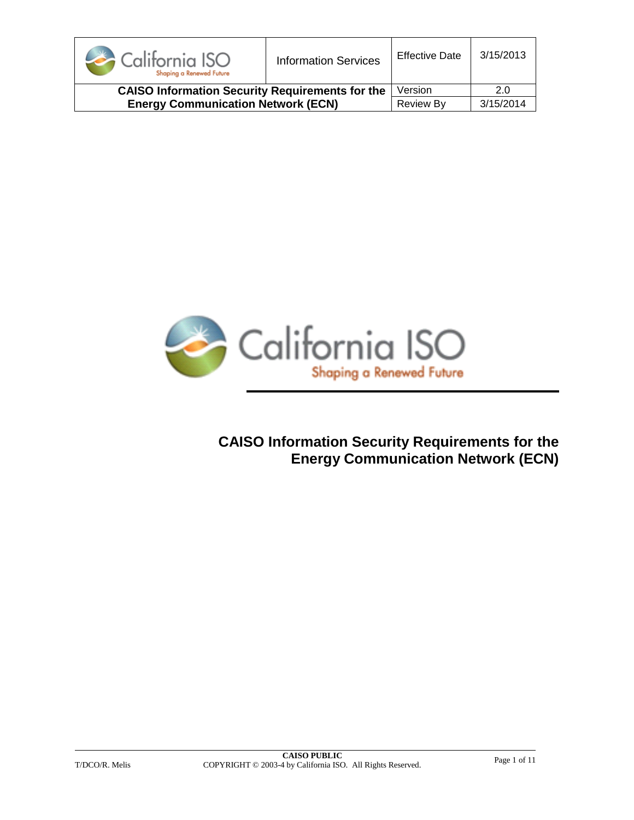| California ISO<br>Shaping a Renewed Future             | <b>Information Services</b> | <b>Effective Date</b> | 3/15/2013 |
|--------------------------------------------------------|-----------------------------|-----------------------|-----------|
| <b>CAISO Information Security Requirements for the</b> |                             | Version               | 2.0       |
| <b>Energy Communication Network (ECN)</b>              |                             | <b>Review By</b>      | 3/15/2014 |



**CAISO Information Security Requirements for the Energy Communication Network (ECN)**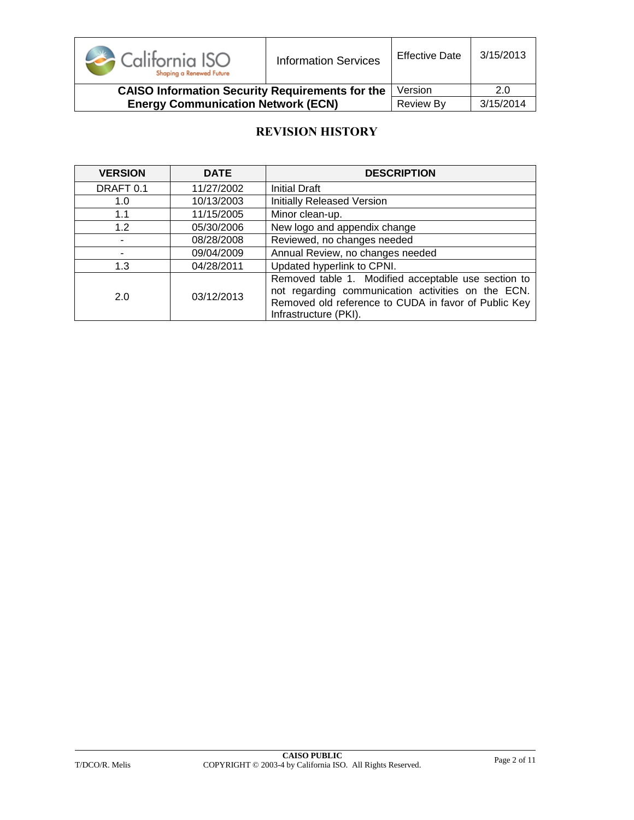

**CAISO Information Security Requirements for the Energy Communication Network (ECN)** Version 2.0 Review By 3/15/2014

### **REVISION HISTORY**

| <b>VERSION</b> | <b>DATE</b> | <b>DESCRIPTION</b>                                                                                                                                                                         |  |
|----------------|-------------|--------------------------------------------------------------------------------------------------------------------------------------------------------------------------------------------|--|
| DRAFT 0.1      | 11/27/2002  | <b>Initial Draft</b>                                                                                                                                                                       |  |
| 1.0            | 10/13/2003  | <b>Initially Released Version</b>                                                                                                                                                          |  |
| 1.1            | 11/15/2005  | Minor clean-up.                                                                                                                                                                            |  |
| 1.2            | 05/30/2006  | New logo and appendix change                                                                                                                                                               |  |
|                | 08/28/2008  | Reviewed, no changes needed                                                                                                                                                                |  |
|                | 09/04/2009  | Annual Review, no changes needed                                                                                                                                                           |  |
| 1.3            | 04/28/2011  | Updated hyperlink to CPNI.                                                                                                                                                                 |  |
| 2.0            | 03/12/2013  | Removed table 1. Modified acceptable use section to<br>not regarding communication activities on the ECN.<br>Removed old reference to CUDA in favor of Public Key<br>Infrastructure (PKI). |  |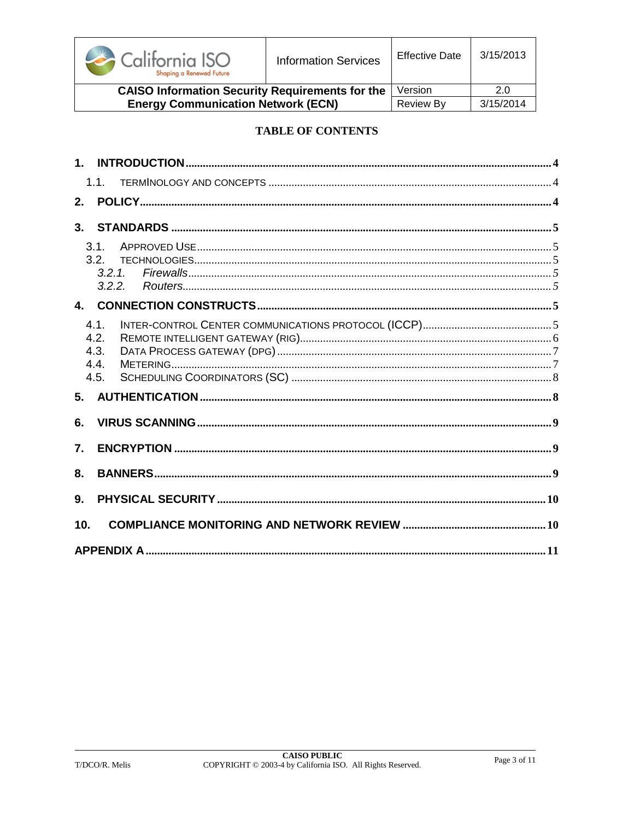

**Effective Date** 

3/15/2013

| <b>CAISO Information Security Requirements for the   Version</b> |             |           |
|------------------------------------------------------------------|-------------|-----------|
| <b>Energy Communication Network (ECN)</b>                        | I Review Bv | 3/15/2014 |

#### **TABLE OF CONTENTS**

|                  | 1.1.             |  |
|------------------|------------------|--|
| 2.               |                  |  |
| 3.               |                  |  |
|                  | 3.1              |  |
|                  | 3.2 <sub>1</sub> |  |
|                  | 3.2.1.<br>3.2.2. |  |
|                  |                  |  |
|                  | 4.1.             |  |
|                  | 4.2.             |  |
|                  | 4.3.             |  |
|                  | 4.4.<br>4.5.     |  |
| 5.               |                  |  |
|                  |                  |  |
| 6.               |                  |  |
| $\overline{7}$ . |                  |  |
| 8.               |                  |  |
| 9.               |                  |  |
| 10.              |                  |  |
|                  |                  |  |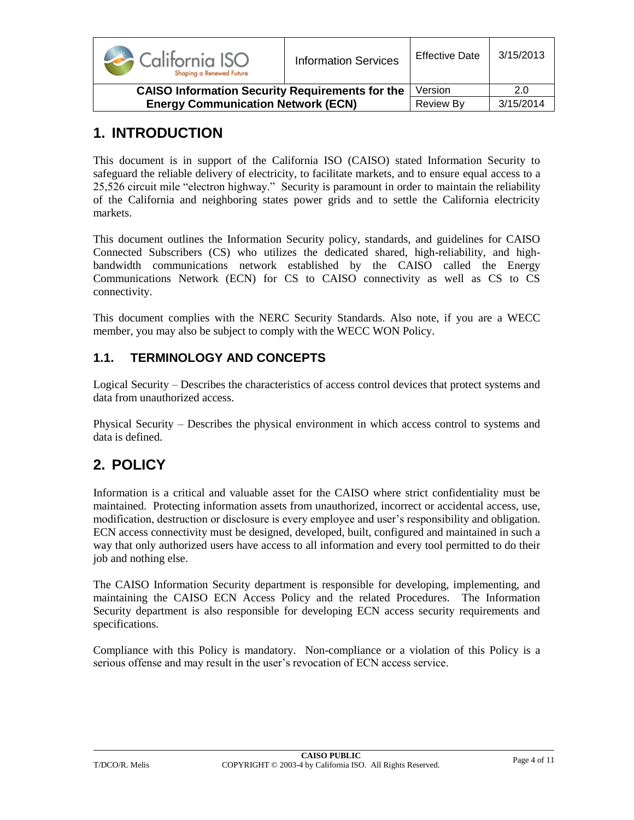| California ISO<br>Shaping a Renewed Future             | <b>Information Services</b> | <b>Effective Date</b> | 3/15/2013 |
|--------------------------------------------------------|-----------------------------|-----------------------|-----------|
| <b>CAISO Information Security Requirements for the</b> |                             | Version               | 2.0       |
| <b>Energy Communication Network (ECN)</b>              |                             | <b>Review By</b>      | 3/15/2014 |

## <span id="page-3-0"></span>**1. INTRODUCTION**

This document is in support of the California ISO (CAISO) stated Information Security to safeguard the reliable delivery of electricity, to facilitate markets, and to ensure equal access to a 25,526 circuit mile "electron highway." Security is paramount in order to maintain the reliability of the California and neighboring states power grids and to settle the California electricity markets.

This document outlines the Information Security policy, standards, and guidelines for CAISO Connected Subscribers (CS) who utilizes the dedicated shared, high-reliability, and highbandwidth communications network established by the CAISO called the Energy Communications Network (ECN) for CS to CAISO connectivity as well as CS to CS connectivity.

This document complies with the NERC Security Standards. Also note, if you are a WECC member, you may also be subject to comply with the WECC WON Policy.

### <span id="page-3-1"></span>**1.1. TERMINOLOGY AND CONCEPTS**

Logical Security – Describes the characteristics of access control devices that protect systems and data from unauthorized access.

Physical Security – Describes the physical environment in which access control to systems and data is defined.

## <span id="page-3-2"></span>**2. POLICY**

Information is a critical and valuable asset for the CAISO where strict confidentiality must be maintained. Protecting information assets from unauthorized, incorrect or accidental access, use, modification, destruction or disclosure is every employee and user's responsibility and obligation. ECN access connectivity must be designed, developed, built, configured and maintained in such a way that only authorized users have access to all information and every tool permitted to do their job and nothing else.

The CAISO Information Security department is responsible for developing, implementing, and maintaining the CAISO ECN Access Policy and the related Procedures. The Information Security department is also responsible for developing ECN access security requirements and specifications.

Compliance with this Policy is mandatory. Non-compliance or a violation of this Policy is a serious offense and may result in the user's revocation of ECN access service.

#### T/DCO/R. Melis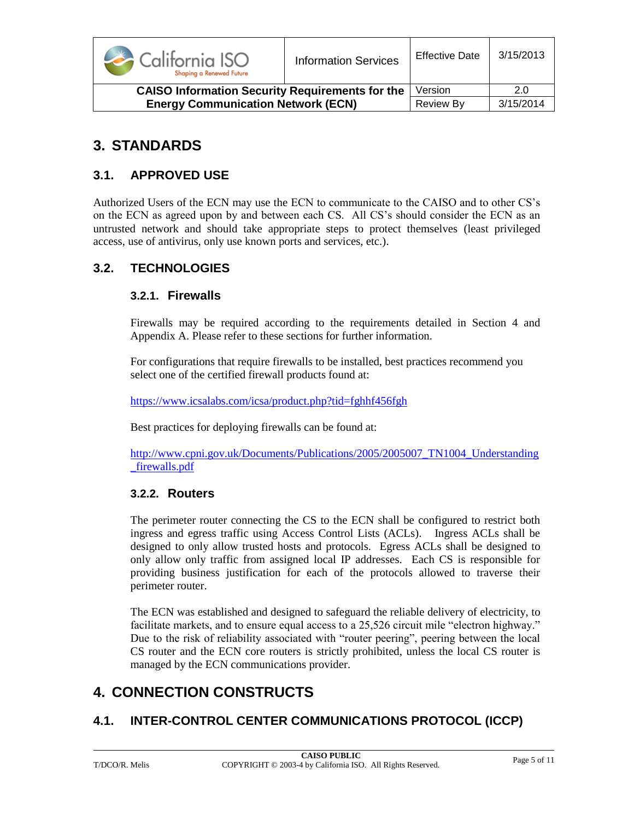

| <b>CAISO Information Security Requirements for the Version</b> |           | 2.0       |
|----------------------------------------------------------------|-----------|-----------|
| <b>Energy Communication Network (ECN)</b>                      | Review By | 3/15/2014 |

## <span id="page-4-0"></span>**3. STANDARDS**

### <span id="page-4-1"></span>**3.1. APPROVED USE**

Authorized Users of the ECN may use the ECN to communicate to the CAISO and to other CS's on the ECN as agreed upon by and between each CS. All CS's should consider the ECN as an untrusted network and should take appropriate steps to protect themselves (least privileged access, use of antivirus, only use known ports and services, etc.).

### <span id="page-4-3"></span><span id="page-4-2"></span>**3.2. TECHNOLOGIES**

#### **3.2.1. Firewalls**

Firewalls may be required according to the requirements detailed in Section 4 and Appendix A. Please refer to these sections for further information.

For configurations that require firewalls to be installed, best practices recommend you select one of the certified firewall products found at:

<https://www.icsalabs.com/icsa/product.php?tid=fghhf456fgh>

Best practices for deploying firewalls can be found at:

[http://www.cpni.gov.uk/Documents/Publications/2005/2005007\\_TN1004\\_Understanding](http://www.cpni.gov.uk/Documents/Publications/2005/2005007_TN1004_Understanding_firewalls.pdf) [\\_firewalls.pdf](http://www.cpni.gov.uk/Documents/Publications/2005/2005007_TN1004_Understanding_firewalls.pdf)

#### <span id="page-4-4"></span>**3.2.2. Routers**

The perimeter router connecting the CS to the ECN shall be configured to restrict both ingress and egress traffic using Access Control Lists (ACLs). Ingress ACLs shall be designed to only allow trusted hosts and protocols. Egress ACLs shall be designed to only allow only traffic from assigned local IP addresses. Each CS is responsible for providing business justification for each of the protocols allowed to traverse their perimeter router.

The ECN was established and designed to safeguard the reliable delivery of electricity, to facilitate markets, and to ensure equal access to a 25,526 circuit mile "electron highway." Due to the risk of reliability associated with "router peering", peering between the local CS router and the ECN core routers is strictly prohibited, unless the local CS router is managed by the ECN communications provider.

## <span id="page-4-5"></span>**4. CONNECTION CONSTRUCTS**

### <span id="page-4-6"></span>**4.1. INTER-CONTROL CENTER COMMUNICATIONS PROTOCOL (ICCP)**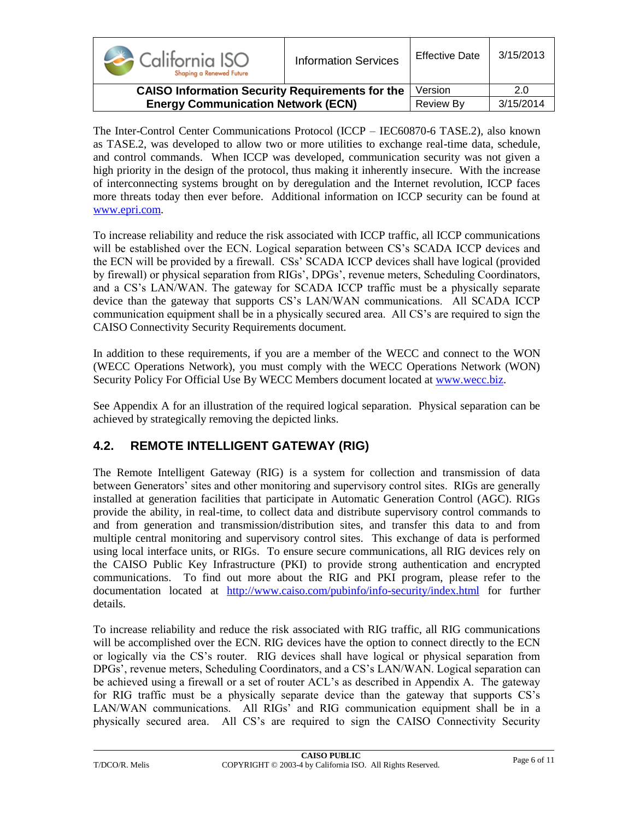| California ISO<br>Shaping a Renewed Future             | <b>Information Services</b> | <b>Effective Date</b> | 3/15/2013 |
|--------------------------------------------------------|-----------------------------|-----------------------|-----------|
| <b>CAISO Information Security Requirements for the</b> |                             | Version               | 2.0       |
| <b>Energy Communication Network (ECN)</b>              |                             | <b>Review By</b>      | 3/15/2014 |

The Inter-Control Center Communications Protocol (ICCP – IEC60870-6 TASE.2), also known as TASE.2, was developed to allow two or more utilities to exchange real-time data, schedule, and control commands. When ICCP was developed, communication security was not given a high priority in the design of the protocol, thus making it inherently insecure. With the increase of interconnecting systems brought on by deregulation and the Internet revolution, ICCP faces more threats today then ever before. Additional information on ICCP security can be found at [www.epri.com.](http://www.epri.com/)

To increase reliability and reduce the risk associated with ICCP traffic, all ICCP communications will be established over the ECN. Logical separation between CS's SCADA ICCP devices and the ECN will be provided by a firewall. CSs' SCADA ICCP devices shall have logical (provided by firewall) or physical separation from RIGs', DPGs', revenue meters, Scheduling Coordinators, and a CS's LAN/WAN. The gateway for SCADA ICCP traffic must be a physically separate device than the gateway that supports CS's LAN/WAN communications. All SCADA ICCP communication equipment shall be in a physically secured area. All CS's are required to sign the CAISO Connectivity Security Requirements document.

In addition to these requirements, if you are a member of the WECC and connect to the WON (WECC Operations Network), you must comply with the WECC Operations Network (WON) Security Policy For Official Use By WECC Members document located at [www.wecc.biz.](http://www.wecc.biz/)

See Appendix A for an illustration of the required logical separation. Physical separation can be achieved by strategically removing the depicted links.

## <span id="page-5-0"></span>**4.2. REMOTE INTELLIGENT GATEWAY (RIG)**

The Remote Intelligent Gateway (RIG) is a system for collection and transmission of data between Generators' sites and other monitoring and supervisory control sites. RIGs are generally installed at generation facilities that participate in Automatic Generation Control (AGC). RIGs provide the ability, in real-time, to collect data and distribute supervisory control commands to and from generation and transmission/distribution sites, and transfer this data to and from multiple central monitoring and supervisory control sites. This exchange of data is performed using local interface units, or RIGs. To ensure secure communications, all RIG devices rely on the CAISO Public Key Infrastructure (PKI) to provide strong authentication and encrypted communications. To find out more about the RIG and PKI program, please refer to the documentation located at <http://www.caiso.com/pubinfo/info-security/index.html> for further details.

To increase reliability and reduce the risk associated with RIG traffic, all RIG communications will be accomplished over the ECN. RIG devices have the option to connect directly to the ECN or logically via the CS's router. RIG devices shall have logical or physical separation from DPGs', revenue meters, Scheduling Coordinators, and a CS's LAN/WAN. Logical separation can be achieved using a firewall or a set of router ACL's as described in Appendix A. The gateway for RIG traffic must be a physically separate device than the gateway that supports CS's LAN/WAN communications. All RIGs' and RIG communication equipment shall be in a physically secured area. All CS's are required to sign the CAISO Connectivity Security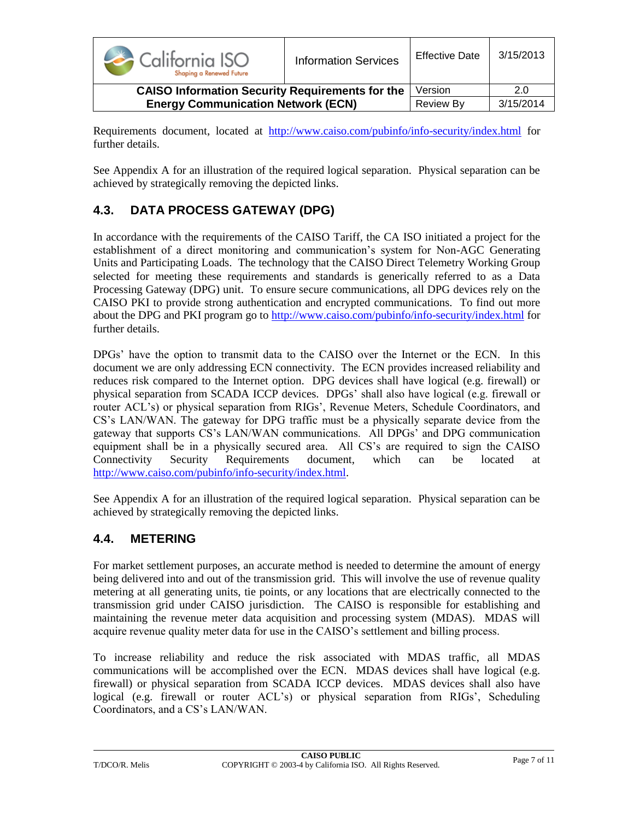

Requirements document, located at <http://www.caiso.com/pubinfo/info-security/index.html> for further details.

See Appendix A for an illustration of the required logical separation. Physical separation can be achieved by strategically removing the depicted links.

## <span id="page-6-0"></span>**4.3. DATA PROCESS GATEWAY (DPG)**

In accordance with the requirements of the CAISO Tariff, the CA ISO initiated a project for the establishment of a direct monitoring and communication's system for Non-AGC Generating Units and Participating Loads. The technology that the CAISO Direct Telemetry Working Group selected for meeting these requirements and standards is generically referred to as a Data Processing Gateway (DPG) unit. To ensure secure communications, all DPG devices rely on the CAISO PKI to provide strong authentication and encrypted communications. To find out more about the DPG and PKI program go to<http://www.caiso.com/pubinfo/info-security/index.html> for further details.

DPGs' have the option to transmit data to the CAISO over the Internet or the ECN. In this document we are only addressing ECN connectivity. The ECN provides increased reliability and reduces risk compared to the Internet option. DPG devices shall have logical (e.g. firewall) or physical separation from SCADA ICCP devices. DPGs' shall also have logical (e.g. firewall or router ACL's) or physical separation from RIGs', Revenue Meters, Schedule Coordinators, and CS's LAN/WAN. The gateway for DPG traffic must be a physically separate device from the gateway that supports CS's LAN/WAN communications. All DPGs' and DPG communication equipment shall be in a physically secured area. All CS's are required to sign the CAISO Connectivity Security Requirements document, which can be located at http://www.caiso.com/pubinfo/info-security/index.html.

See Appendix A for an illustration of the required logical separation. Physical separation can be achieved by strategically removing the depicted links.

### <span id="page-6-1"></span>**4.4. METERING**

For market settlement purposes, an accurate method is needed to determine the amount of energy being delivered into and out of the transmission grid. This will involve the use of revenue quality metering at all generating units, tie points, or any locations that are electrically connected to the transmission grid under CAISO jurisdiction. The CAISO is responsible for establishing and maintaining the revenue meter data acquisition and processing system (MDAS). MDAS will acquire revenue quality meter data for use in the CAISO's settlement and billing process.

To increase reliability and reduce the risk associated with MDAS traffic, all MDAS communications will be accomplished over the ECN. MDAS devices shall have logical (e.g. firewall) or physical separation from SCADA ICCP devices. MDAS devices shall also have logical (e.g. firewall or router ACL's) or physical separation from RIGs', Scheduling Coordinators, and a CS's LAN/WAN.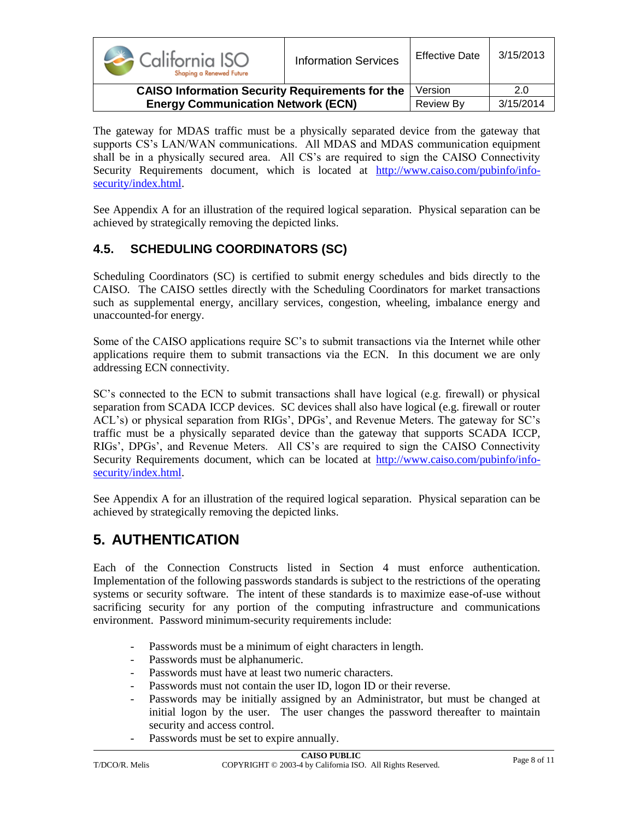| California ISO<br>Shaping a Renewed Future             | <b>Information Services</b> | <b>Effective Date</b> | 3/15/2013 |
|--------------------------------------------------------|-----------------------------|-----------------------|-----------|
| <b>CAISO Information Security Requirements for the</b> |                             | Version               | 2.0       |
| <b>Energy Communication Network (ECN)</b>              |                             | <b>Review By</b>      | 3/15/2014 |

The gateway for MDAS traffic must be a physically separated device from the gateway that supports CS's LAN/WAN communications. All MDAS and MDAS communication equipment shall be in a physically secured area. All CS's are required to sign the CAISO Connectivity Security Requirements document, which is located at http://www.caiso.com/pubinfo/infosecurity/index.html.

See Appendix A for an illustration of the required logical separation. Physical separation can be achieved by strategically removing the depicted links.

## <span id="page-7-0"></span>**4.5. SCHEDULING COORDINATORS (SC)**

Scheduling Coordinators (SC) is certified to submit energy schedules and bids directly to the CAISO. The CAISO settles directly with the Scheduling Coordinators for market transactions such as supplemental energy, ancillary services, congestion, wheeling, imbalance energy and unaccounted-for energy.

Some of the CAISO applications require SC's to submit transactions via the Internet while other applications require them to submit transactions via the ECN. In this document we are only addressing ECN connectivity.

SC's connected to the ECN to submit transactions shall have logical (e.g. firewall) or physical separation from SCADA ICCP devices. SC devices shall also have logical (e.g. firewall or router ACL's) or physical separation from RIGs', DPGs', and Revenue Meters. The gateway for SC's traffic must be a physically separated device than the gateway that supports SCADA ICCP, RIGs', DPGs', and Revenue Meters. All CS's are required to sign the CAISO Connectivity Security Requirements document, which can be located at http://www.caiso.com/pubinfo/infosecurity/index.html.

See Appendix A for an illustration of the required logical separation. Physical separation can be achieved by strategically removing the depicted links.

## <span id="page-7-1"></span>**5. AUTHENTICATION**

Each of the Connection Constructs listed in Section 4 must enforce authentication. Implementation of the following passwords standards is subject to the restrictions of the operating systems or security software. The intent of these standards is to maximize ease-of-use without sacrificing security for any portion of the computing infrastructure and communications environment. Password minimum-security requirements include:

- Passwords must be a minimum of eight characters in length.
- Passwords must be alphanumeric.
- Passwords must have at least two numeric characters.
- Passwords must not contain the user ID, logon ID or their reverse.
- Passwords may be initially assigned by an Administrator, but must be changed at initial logon by the user. The user changes the password thereafter to maintain security and access control.
- Passwords must be set to expire annually.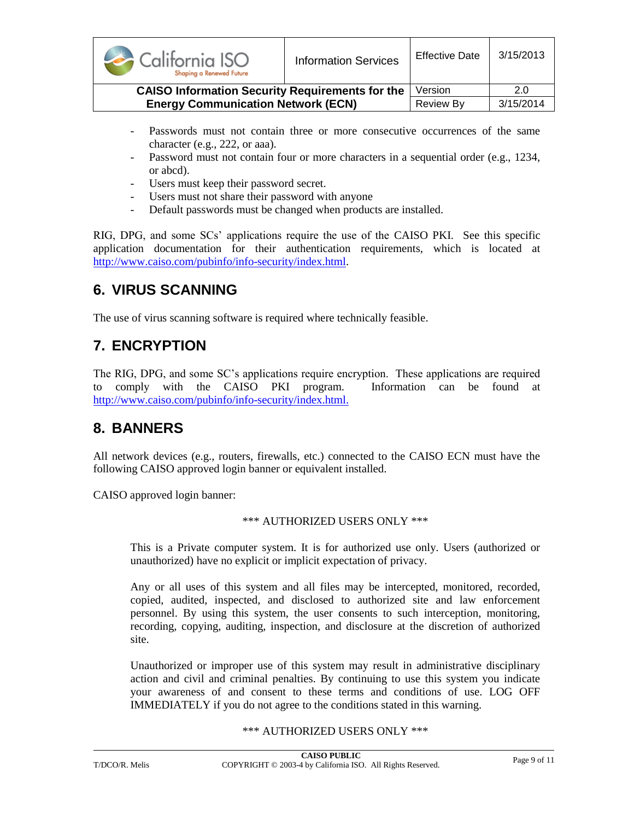| California ISO<br>Shaping a Renewed Future             | <b>Information Services</b> | <b>Effective Date</b> | 3/15/2013 |
|--------------------------------------------------------|-----------------------------|-----------------------|-----------|
| <b>CAISO Information Security Requirements for the</b> |                             | Version               | 2.0       |
| <b>Energy Communication Network (ECN)</b>              |                             | <b>Review By</b>      | 3/15/2014 |

- Passwords must not contain three or more consecutive occurrences of the same character (e.g., 222, or aaa).
- Password must not contain four or more characters in a sequential order (e.g., 1234, or abcd).
- Users must keep their password secret.
- Users must not share their password with anyone
- Default passwords must be changed when products are installed.

RIG, DPG, and some SCs' applications require the use of the CAISO PKI. See this specific application documentation for their authentication requirements, which is located at http://www.caiso.com/pubinfo/info-security/index.html.

## <span id="page-8-0"></span>**6. VIRUS SCANNING**

The use of virus scanning software is required where technically feasible.

# <span id="page-8-1"></span>**7. ENCRYPTION**

The RIG, DPG, and some SC's applications require encryption. These applications are required to comply with the CAISO PKI program. Information can be found at http://www.caiso.com/pubinfo/info-security/index.html.

## <span id="page-8-2"></span>**8. BANNERS**

All network devices (e.g., routers, firewalls, etc.) connected to the CAISO ECN must have the following CAISO approved login banner or equivalent installed.

CAISO approved login banner:

#### \*\*\* AUTHORIZED USERS ONLY \*\*\*

This is a Private computer system. It is for authorized use only. Users (authorized or unauthorized) have no explicit or implicit expectation of privacy.

Any or all uses of this system and all files may be intercepted, monitored, recorded, copied, audited, inspected, and disclosed to authorized site and law enforcement personnel. By using this system, the user consents to such interception, monitoring, recording, copying, auditing, inspection, and disclosure at the discretion of authorized site.

Unauthorized or improper use of this system may result in administrative disciplinary action and civil and criminal penalties. By continuing to use this system you indicate your awareness of and consent to these terms and conditions of use. LOG OFF IMMEDIATELY if you do not agree to the conditions stated in this warning.

#### \*\*\* AUTHORIZED USERS ONLY \*\*\*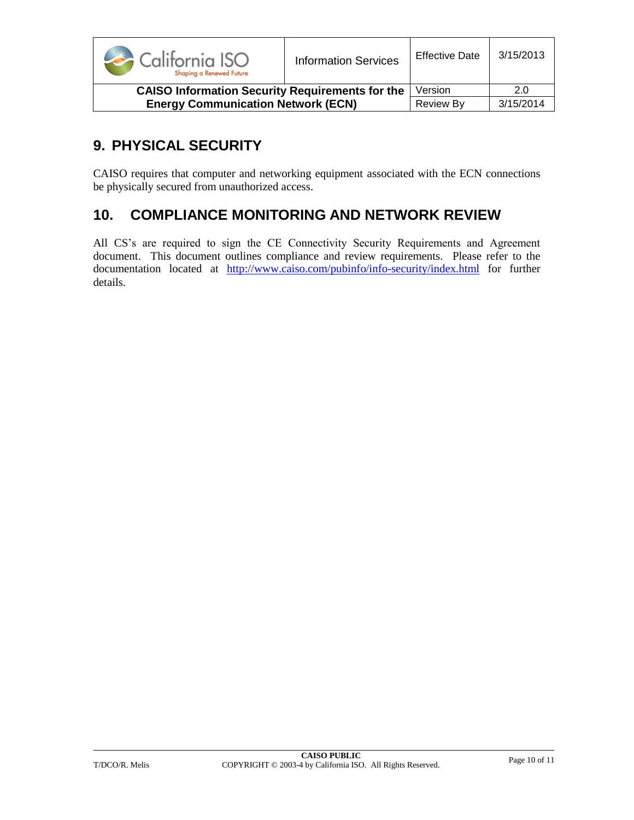

# <span id="page-9-0"></span>**9. PHYSICAL SECURITY**

CAISO requires that computer and networking equipment associated with the ECN connections be physically secured from unauthorized access.

## <span id="page-9-1"></span>**10. COMPLIANCE MONITORING AND NETWORK REVIEW**

All CS's are required to sign the CE Connectivity Security Requirements and Agreement document. This document outlines compliance and review requirements. Please refer to the documentation located at http://www.caiso.com/pubinfo/info-security/index.html for further details.